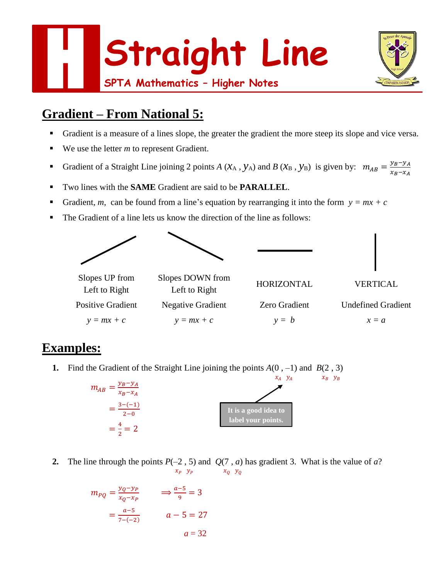



# **Gradient – From National 5:**

- Gradient is a measure of a lines slope, the greater the gradient the more steep its slope and vice versa.
- We use the letter *m* to represent Gradient.
- Gradient of a Straight Line joining 2 points *A* ( $X_A$ ,  $Y_A$ ) and *B* ( $X_B$ ,  $Y_B$ ) is given by:  $m_{AB} = \frac{y_B y_A}{x_B x_A}$  $x_B - x_A$
- Two lines with the **SAME** Gradient are said to be **PARALLEL**.
- Gradient, *m*, can be found from a line's equation by rearranging it into the form  $y = mx + c$
- The Gradient of a line lets us know the direction of the line as follows:



### **Examples:**

**1.** Find the Gradient of the Straight Line joining the points  $A(0, -1)$  and  $B(2, 3)$ 

|                                                          | $x_A$ $y_A$                                | $x_B$ $y_B$ |
|----------------------------------------------------------|--------------------------------------------|-------------|
| $y_B - y_A$<br>$m_{AB}$<br>$\frac{x_B - x_A}{x_B - x_A}$ |                                            |             |
| $2 - 0$                                                  | It is a good idea to<br>label your points. |             |
|                                                          |                                            |             |

**2.** The line through the points  $P(-2, 5)$  and  $Q(7, a)$  has gradient 3. What is the value of *a*?  $x_P$   $y_P$   $x_Q$   $y_Q$ 

$$
m_{PQ} = \frac{y_Q - y_P}{x_Q - x_P} \qquad \Rightarrow \frac{a - 5}{9} = 3
$$

$$
= \frac{a - 5}{7 - (-2)} \qquad a - 5 = 27
$$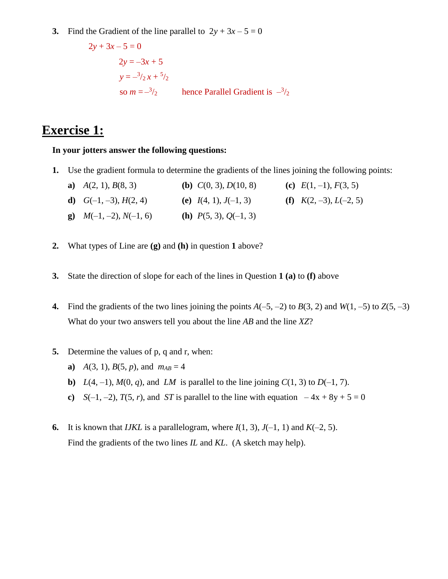**3.** Find the Gradient of the line parallel to  $2y + 3x - 5 = 0$ 

$$
2y + 3x - 5 = 0
$$
  
2y = -3x + 5  

$$
y = -\frac{3}{2}x + \frac{5}{2}
$$
  
so  $m = -\frac{3}{2}$  hence Parallel Gradient is  $-\frac{3}{2}$ 

### **Exercise 1:**

#### **In your jotters answer the following questions:**

**1.** Use the gradient formula to determine the gradients of the lines joining the following points:

| a) $A(2, 1), B(8, 3)$               | ( <b>b</b> ) $C(0, 3)$ , $D(10, 8)$ | (c) $E(1, -1)$ , $F(3, 5)$ |
|-------------------------------------|-------------------------------------|----------------------------|
| <b>d</b> ) $G(-1, -3)$ , $H(2, 4)$  | (e) $I(4, 1), J(-1, 3)$             | (f) $K(2, -3), L(-2, 5)$   |
| <b>g</b> ) $M(-1, -2)$ , $N(-1, 6)$ | ( <b>h</b> ) $P(5, 3), Q(-1, 3)$    |                            |

- **2.** What types of Line are **(g)** and **(h)** in question **1** above?
- **3.** State the direction of slope for each of the lines in Question **1 (a)** to **(f)** above
- **4.** Find the gradients of the two lines joining the points  $A(-5, -2)$  to  $B(3, 2)$  and  $W(1, -5)$  to  $Z(5, -3)$ What do your two answers tell you about the line *AB* and the line *XZ*?
- **5.** Determine the values of p, q and r, when:
	- **a**)  $A(3, 1), B(5, p)$ , and  $m_{AB} = 4$
	- **b**)  $L(4, -1)$ ,  $M(0, q)$ , and  $LM$  is parallel to the line joining  $C(1, 3)$  to  $D(-1, 7)$ .
	- **c**) *S*(-1, -2), *T*(5, *r*), and *ST* is parallel to the line with equation  $-4x + 8y + 5 = 0$
- **6.** It is known that *IJKL* is a parallelogram, where  $I(1, 3)$ ,  $J(-1, 1)$  and  $K(-2, 5)$ . Find the gradients of the two lines *IL* and *KL*. (A sketch may help).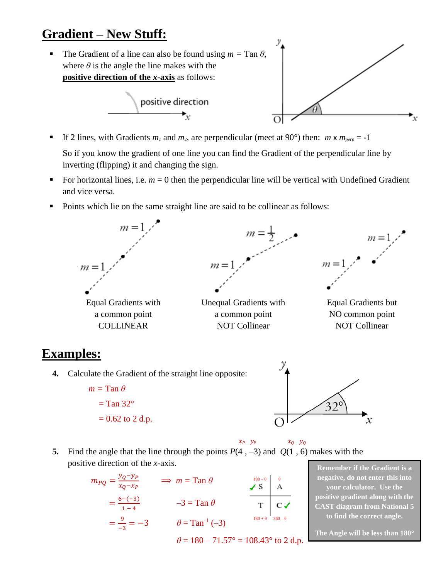## **Gradient – New Stuff:**



If 2 lines, with Gradients  $m_l$  and  $m_2$ , are perpendicular (meet at 90°) then:  $m \times m_{perp} = -1$ 

So if you know the gradient of one line you can find the Gradient of the perpendicular line by inverting (flipping) it and changing the sign.

- For horizontal lines, i.e.  $m = 0$  then the perpendicular line will be vertical with Undefined Gradient and vice versa.
- Points which lie on the same straight line are said to be collinear as follows:



### **Examples:**

- **4.** Calculate the Gradient of the straight line opposite:
	- $m =$ Tan  $\theta$  $=$  Tan 32 $\degree$  $= 0.62$  to 2 d.p.



 $x_P$   $y_P$   $x_Q$   $y_Q$ **5.** Find the angle that the line through the points  $P(4, -3)$  and  $Q(1, 6)$  makes with the positive direction of the *x*-axis.



**Remember if the Gradient is a negative, do not enter this into your calculator. Use the positive gradient along with the CAST diagram from National 5 to find the correct angle.**

**The Angle will be less than 180°**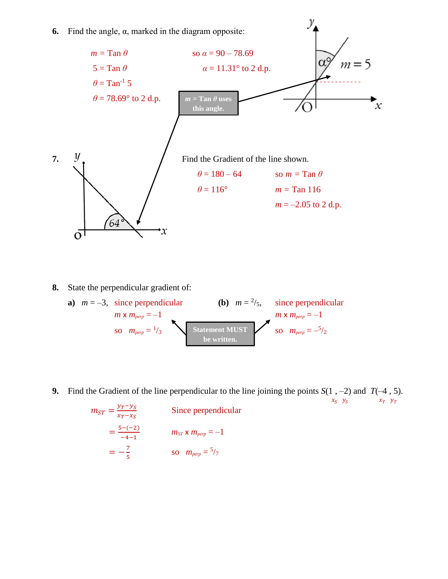

**8.** State the perpendicular gradient of:

**a)** 
$$
m = -3
$$
, since perpendicular   
\n $m \times m_{perp} = -1$   
\nso  $m_{perp} = \frac{1}{3}$   
\n**b)**  $m = \frac{2}{5}$ , since perpendicular  $m \times m_{perp} = -1$   
\n $m \times m_{perp} = -1$   
\n $m \times m_{perp} = -1$   
\n $m \times m_{perp} = -\frac{5}{2}$ 

**9.** Find the Gradient of the line perpendicular to the line joining the points  $S(1, -2)$  and  $T(-4, 5)$ .

 $x_S$   $y_S$   $x_T$   $y_T$ 

$$
m_{ST} = \frac{y_T - y_S}{x_T - x_S}
$$
 Since perpendicular  

$$
= \frac{5 - (-2)}{-4 - 1}
$$
 
$$
m_{ST} \times m_{perp} = -1
$$

$$
= -\frac{7}{5}
$$
 so 
$$
m_{perp} = \frac{5}{7}
$$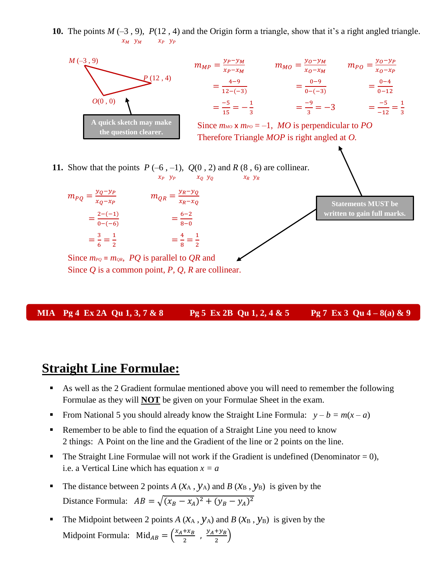**10.** The points *M* (–3 , 9), *P*(12 , 4) and the Origin form a triangle, show that it's a right angled triangle.  $x_M$   $y_M$   $x_P$   $y_P$ 



Since *Q* is a common point, *P, Q, R* are collinear.

#### **MIA Pg 4** Ex 2A Qu 1, 3, 7 & 8 **Pg 5** Ex 2B Qu 1, 2, 4 & 5 **Pg 7** Ex 3 Qu 4 – 8(a) & 9

### **Straight Line Formulae:**

- As well as the 2 Gradient formulae mentioned above you will need to remember the following Formulae as they will **NOT** be given on your Formulae Sheet in the exam.
- From National 5 you should already know the Straight Line Formula:  $y b = m(x a)$
- Remember to be able to find the equation of a Straight Line you need to know 2 things: A Point on the line and the Gradient of the line or 2 points on the line.
- The Straight Line Formulae will not work if the Gradient is undefined (Denominator  $= 0$ ), i.e. a Vertical Line which has equation  $x = a$
- The distance between 2 points  $A$  ( $X_A$ ,  $Y_A$ ) and  $B$  ( $X_B$ ,  $Y_B$ ) is given by the Distance Formula:  $AB = \sqrt{(x_B - x_A)^2 + (y_B - y_A)^2}$
- The Midpoint between 2 points  $A$  ( $X_A$ ,  $Y_A$ ) and  $B$  ( $X_B$ ,  $Y_B$ ) is given by the Midpoint Formula:  $\text{Mid}_{AB} = \left(\frac{x_A + x_B}{2}\right)$  $\frac{+x_B}{2}$ ,  $\frac{y_A + y_B}{2}$  $\frac{f^T y B}{2}$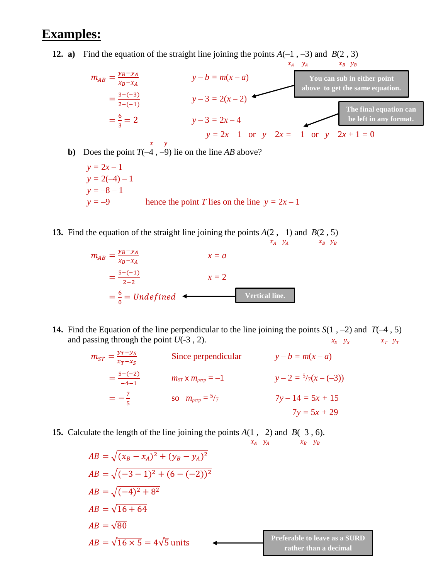### **Examples:**

**12. a**) Find the equation of the straight line joining the points  $A(-1, -3)$  and  $B(2, 3)$ 



- **b**) Does the point  $T(-4, -9)$  lie on the line *AB* above?
	- $y = 2x 1$  $y = 2(-4) - 1$  $y = -8 - 1$  $y = -9$  hence the point *T* lies on the line  $y = 2x - 1$
- **13.** Find the equation of the straight line joining the points  $A(2, -1)$  and  $B(2, 5)$  $x_A$   $y_A$   $x_B$   $y_B$

$$
m_{AB} = \frac{y_B - y_A}{x_B - x_A}
$$
  
=  $\frac{5 - (-1)}{2 - 2}$   
=  $\frac{6}{0}$  = Undefined

**14.** Find the Equation of the line perpendicular to the line joining the points  $S(1, -2)$  and  $T(-4, 5)$ and passing through the point  $U(-3, 2)$ .  $x_S y_S$   $x_T y_T$ 

| $m_{ST} = \frac{y_T - y_S}{x_T - x_S}$ | Since perpendicular         | $y-b=m(x-a)$              |
|----------------------------------------|-----------------------------|---------------------------|
| $=\frac{5-(-2)}{-4-1}$                 | $m_{ST}$ x $m_{perp} = -1$  | $y-2=\frac{5}{7}(x-(-3))$ |
| $=-\frac{7}{5}$                        | SO $m_{perp} = \frac{5}{7}$ | $7y - 14 = 5x + 15$       |
|                                        |                             | $7y = 5x + 29$            |

**15.** Calculate the length of the line joining the points  $A(1, -2)$  and  $B(-3, 6)$ .

$$
x_A y_A
$$
  
\n
$$
x_B y_B
$$
  
\n
$$
AB = \sqrt{(-3-1)^2 + (6-(-2))^2}
$$
  
\n
$$
AB = \sqrt{(-4)^2 + 8^2}
$$
  
\n
$$
AB = \sqrt{16 + 64}
$$
  
\n
$$
AB = \sqrt{80}
$$
  
\n
$$
AB = \sqrt{16 \times 5} = 4\sqrt{5}
$$
 units  
\n
$$
AB = \sqrt{16 \times 5} = 4\sqrt{5}
$$
 units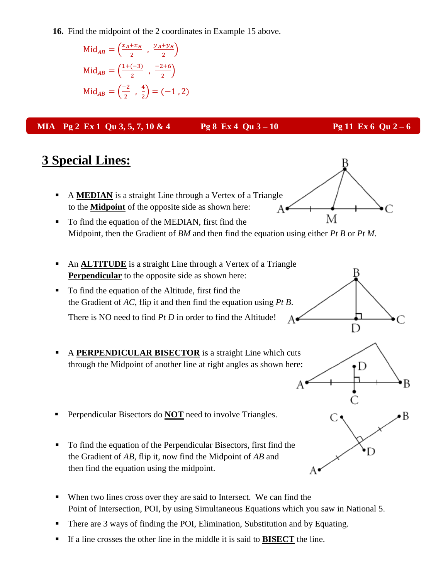**16.** Find the midpoint of the 2 coordinates in Example 15 above.

Mid<sub>AB</sub> = 
$$
\left(\frac{x_A + x_B}{2}, \frac{y_A + y_B}{2}\right)
$$
  
\nMid<sub>AB</sub> =  $\left(\frac{1 + (-3)}{2}, \frac{-2 + 6}{2}\right)$   
\nMid<sub>AB</sub> =  $\left(\frac{-2}{2}, \frac{4}{2}\right)$  =  $(-1, 2)$ 

**MIA Pg 2 Ex 1 Qu 3, 5, 7, 10 & 4 Pg 8 Ex 4 Qu 3 – 10 Pg 11 Ex 6 Qu 2 – 6**

В

D

٠D

D

C٠

B

 $\scriptstyle\bullet$  B

### **3 Special Lines:**

- A **MEDIAN** is a straight Line through a Vertex of a Triangle to the **Midpoint** of the opposite side as shown here:
- М ■ To find the equation of the MEDIAN, first find the Midpoint, then the Gradient of *BM* and then find the equation using either *Pt B* or *Pt M*.
- An **ALTITUDE** is a straight Line through a Vertex of a Triangle **Perpendicular** to the opposite side as shown here:
- To find the equation of the Altitude, first find the the Gradient of *AC*, flip it and then find the equation using *Pt B*. There is NO need to find *Pt D* in order to find the Altitude!
- A **PERPENDICULAR BISECTOR** is a straight Line which cuts through the Midpoint of another line at right angles as shown here:
- **Perpendicular Bisectors do <b>NOT** need to involve Triangles.
- To find the equation of the Perpendicular Bisectors, first find the the Gradient of *AB*, flip it, now find the Midpoint of *AB* and then find the equation using the midpoint.
- When two lines cross over they are said to Intersect. We can find the Point of Intersection, POI, by using Simultaneous Equations which you saw in National 5.
- There are 3 ways of finding the POI, Elimination, Substitution and by Equating.
- If a line crosses the other line in the middle it is said to **BISECT** the line.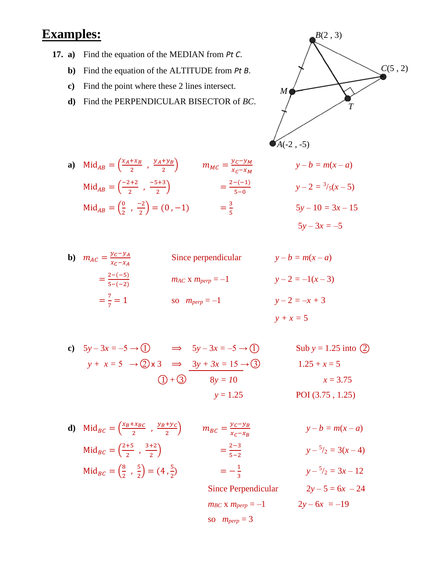## **Examples:**

- **17. a)** Find the equation of the MEDIAN from *Pt C*.
	- **b)** Find the equation of the ALTITUDE from *Pt B*.
	- **c)** Find the point where these 2 lines intersect.
	- **d)** Find the PERPENDICULAR BISECTOR of *BC*.



**a)** Mid<sub>AB</sub> = 
$$
\left(\frac{x_A + x_B}{2}, \frac{y_A + y_B}{2}\right)
$$
  $m_{MC} = \frac{y_C - y_M}{x_C - x_M}$   $y - b = m(x - a)$   
\nMid<sub>AB</sub> =  $\left(\frac{-2+2}{2}, \frac{-5+3}{2}\right)$   $= \frac{2-(-1)}{5-0}$   $y - 2 = \frac{3}{5}(x - 5)$   
\nMid<sub>AB</sub> =  $\left(\frac{0}{2}, \frac{-2}{2}\right)$  = (0, -1)  $= \frac{3}{5}$   $5y - 10 = 3x - 15$   
\n $5y - 3x = -5$ 

**b)** 
$$
m_{AC} = \frac{y_C - y_A}{x_C - x_A}
$$
 Since perpendicular  $y - b = m(x - a)$   
\n $= \frac{2 - (-5)}{5 - (-2)}$   $m_{AC} x m_{perp} = -1$   $y - 2 = -1(x - 3)$   
\n $= \frac{7}{7} = 1$  so  $m_{perp} = -1$   $y - 2 = -x + 3$   
\n $y + x = 5$ 

c) 
$$
5y-3x = -5 \rightarrow ①
$$
  $\Rightarrow$   $5y-3x = -5 \rightarrow ①$  Sub  $y = 1.25$  into ②  
\n $y + x = 5 \rightarrow ② \times 3$   $\Rightarrow$   $\frac{3y + 3x = 15 \rightarrow ③}{8y = 10}$   $\Rightarrow$   $x = 3.75$   
\n $y = 1.25$  POI (3.75, 1.25)

**d)** Mid<sub>BC</sub> = 
$$
\left(\frac{x_B + x_{BC}}{2}, \frac{y_B + y_C}{2}\right)
$$
  $m_{BC} = \frac{y_C - y_B}{x_C - x_B}$   $y - b = m(x - a)$   
\nMid<sub>BC</sub> =  $\left(\frac{2+5}{2}, \frac{3+2}{2}\right)$   $= \frac{2-3}{5-2}$   $y - \frac{5}{2} = 3(x - 4)$   
\nMid<sub>BC</sub> =  $\left(\frac{8}{2}, \frac{5}{2}\right)$  =  $\left(4, \frac{5}{2}\right)$   $= -\frac{1}{3}$   $y - \frac{5}{2} = 3x - 12$   
\nSince Perpendicular  $2y - 5 = 6x - 24$ 

*m*<sup>BC</sup> x *m*<sub>perp</sub> = –1 2*y* – 6*x* = –19 so  $m_{perp} = 3$